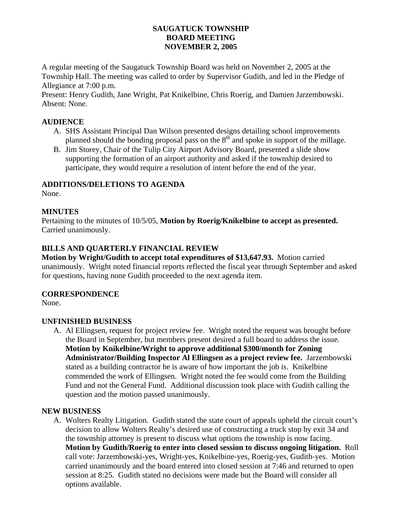# **SAUGATUCK TOWNSHIP BOARD MEETING NOVEMBER 2, 2005**

A regular meeting of the Saugatuck Township Board was held on November 2, 2005 at the Township Hall. The meeting was called to order by Supervisor Gudith, and led in the Pledge of Allegiance at 7:00 p.m.

Present: Henry Gudith, Jane Wright, Pat Knikelbine, Chris Roerig, and Damien Jarzembowski. Absent: None.

# **AUDIENCE**

- A. SHS Assistant Principal Dan Wilson presented designs detailing school improvements planned should the bonding proposal pass on the  $8<sup>th</sup>$  and spoke in support of the millage.
- B. Jim Storey, Chair of the Tulip City Airport Advisory Board, presented a slide show supporting the formation of an airport authority and asked if the township desired to participate, they would require a resolution of intent before the end of the year.

### **ADDITIONS/DELETIONS TO AGENDA**

None.

### **MINUTES**

Pertaining to the minutes of 10/5/05, **Motion by Roerig/Knikelbine to accept as presented.** Carried unanimously.

# **BILLS AND QUARTERLY FINANCIAL REVIEW**

**Motion by Wright/Gudith to accept total expenditures of \$13,647.93.** Motion carried unanimously. Wright noted financial reports reflected the fiscal year through September and asked for questions, having none Gudith proceeded to the next agenda item.

#### **CORRESPONDENCE**

None.

#### **UNFINISHED BUSINESS**

A. Al Ellingsen, request for project review fee. Wright noted the request was brought before the Board in September, but members present desired a full board to address the issue. **Motion by Knikelbine/Wright to approve additional \$300/month for Zoning Administrator/Building Inspector Al Ellingsen as a project review fee.** Jarzembowski stated as a building contractor he is aware of how important the job is. Knikelbine commended the work of Ellingsen. Wright noted the fee would come from the Building Fund and not the General Fund. Additional discussion took place with Gudith calling the question and the motion passed unanimously.

#### **NEW BUSINESS**

A. Wolters Realty Litigation. Gudith stated the state court of appeals upheld the circuit court's decision to allow Wolters Realty's desired use of constructing a truck stop by exit 34 and the township attorney is present to discuss what options the township is now facing. **Motion by Gudith/Roerig to enter into closed session to discuss ongoing litigation.** Roll call vote: Jarzembowski-yes, Wright-yes, Knikelbine-yes, Roerig-yes, Gudith-yes. Motion carried unanimously and the board entered into closed session at 7:46 and returned to open session at 8:25. Gudith stated no decisions were made but the Board will consider all options available.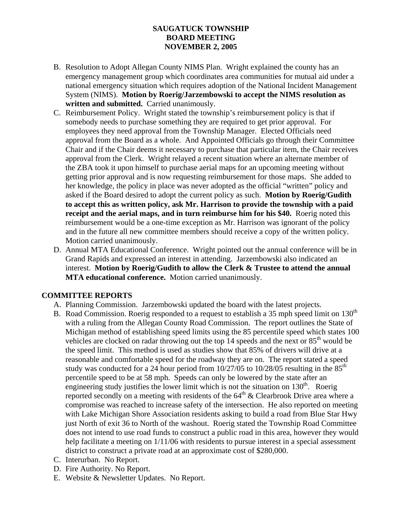# **SAUGATUCK TOWNSHIP BOARD MEETING NOVEMBER 2, 2005**

- B. Resolution to Adopt Allegan County NIMS Plan. Wright explained the county has an emergency management group which coordinates area communities for mutual aid under a national emergency situation which requires adoption of the National Incident Management System (NIMS). **Motion by Roerig/Jarzembowski to accept the NIMS resolution as written and submitted.** Carried unanimously.
- C. Reimbursement Policy. Wright stated the township's reimbursement policy is that if somebody needs to purchase something they are required to get prior approval. For employees they need approval from the Township Manager. Elected Officials need approval from the Board as a whole. And Appointed Officials go through their Committee Chair and if the Chair deems it necessary to purchase that particular item, the Chair receives approval from the Clerk. Wright relayed a recent situation where an alternate member of the ZBA took it upon himself to purchase aerial maps for an upcoming meeting without getting prior approval and is now requesting reimbursement for those maps. She added to her knowledge, the policy in place was never adopted as the official "written" policy and asked if the Board desired to adopt the current policy as such. **Motion by Roerig/Gudith to accept this as written policy, ask Mr. Harrison to provide the township with a paid receipt and the aerial maps, and in turn reimburse him for his \$40.** Roerig noted this reimbursement would be a one-time exception as Mr. Harrison was ignorant of the policy and in the future all new committee members should receive a copy of the written policy. Motion carried unanimously.
- D. Annual MTA Educational Conference. Wright pointed out the annual conference will be in Grand Rapids and expressed an interest in attending. Jarzembowski also indicated an interest. **Motion by Roerig/Gudith to allow the Clerk & Trustee to attend the annual MTA educational conference.** Motion carried unanimously.

#### **COMMITTEE REPORTS**

- A. Planning Commission. Jarzembowski updated the board with the latest projects.
- B. Road Commission. Roerig responded to a request to establish a 35 mph speed limit on  $130<sup>th</sup>$ with a ruling from the Allegan County Road Commission. The report outlines the State of Michigan method of establishing speed limits using the 85 percentile speed which states 100 vehicles are clocked on radar throwing out the top  $\overline{14}$  speeds and the next or  $85<sup>th</sup>$  would be the speed limit. This method is used as studies show that 85% of drivers will drive at a reasonable and comfortable speed for the roadway they are on. The report stated a speed study was conducted for a 24 hour period from  $10/27/05$  to  $10/28/05$  resulting in the  $85<sup>th</sup>$ percentile speed to be at 58 mph. Speeds can only be lowered by the state after an engineering study justifies the lower limit which is not the situation on  $130<sup>th</sup>$ . Roerig reported secondly on a meeting with residents of the  $64<sup>th</sup>$  & Clearbrook Drive area where a compromise was reached to increase safety of the intersection. He also reported on meeting with Lake Michigan Shore Association residents asking to build a road from Blue Star Hwy just North of exit 36 to North of the washout. Roerig stated the Township Road Committee does not intend to use road funds to construct a public road in this area, however they would help facilitate a meeting on  $1/11/06$  with residents to pursue interest in a special assessment district to construct a private road at an approximate cost of \$280,000.
- C. Interurban. No Report.
- D. Fire Authority. No Report.
- E. Website & Newsletter Updates. No Report.